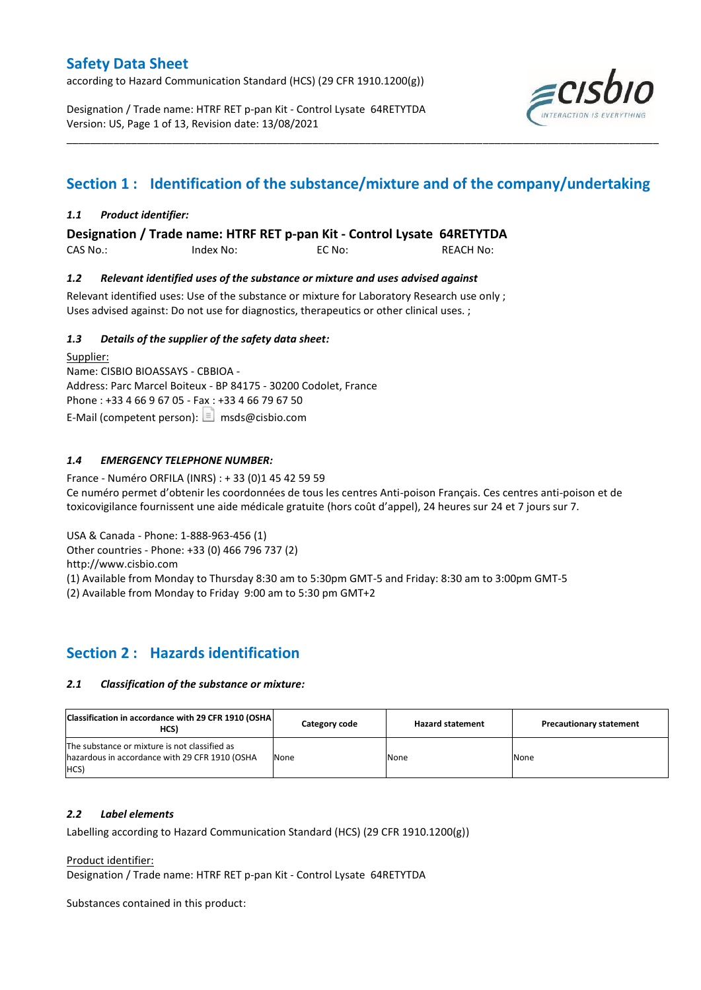according to Hazard Communication Standard (HCS) (29 CFR 1910.1200(g))

Designation / Trade name: HTRF RET p-pan Kit - Control Lysate 64RETYTDA Version: US, Page 1 of 13, Revision date: 13/08/2021



# **Section 1 : Identification of the substance/mixture and of the company/undertaking**

\_\_\_\_\_\_\_\_\_\_\_\_\_\_\_\_\_\_\_\_\_\_\_\_\_\_\_\_\_\_\_\_\_\_\_\_\_\_\_\_\_\_\_\_\_\_\_\_\_\_\_\_\_\_\_\_\_\_\_\_\_\_\_\_\_\_\_\_\_\_\_\_\_\_\_\_\_\_\_\_\_\_\_\_\_\_\_\_\_\_\_\_\_\_\_\_\_\_\_\_\_

### *1.1 Product identifier:*

**Designation / Trade name: HTRF RET p-pan Kit - Control Lysate 64RETYTDA** 

CAS No.: Index No: EC No: REACH No:

### *1.2 Relevant identified uses of the substance or mixture and uses advised against*

Relevant identified uses: Use of the substance or mixture for Laboratory Research use only ; Uses advised against: Do not use for diagnostics, therapeutics or other clinical uses. ;

### *1.3 Details of the supplier of the safety data sheet:*

Supplier: Name: CISBIO BIOASSAYS - CBBIOA - Address: Parc Marcel Boiteux - BP 84175 - 30200 Codolet, France Phone : +33 4 66 9 67 05 - Fax : +33 4 66 79 67 50 E-Mail (competent person):  $\boxed{\equiv}$  msds@cisbio.com

### *1.4 EMERGENCY TELEPHONE NUMBER:*

France - Numéro ORFILA (INRS) : + 33 (0)1 45 42 59 59 Ce numéro permet d'obtenir les coordonnées de tous les centres Anti-poison Français. Ces centres anti-poison et de toxicovigilance fournissent une aide médicale gratuite (hors coût d'appel), 24 heures sur 24 et 7 jours sur 7.

USA & Canada - Phone: 1-888-963-456 (1)

Other countries - Phone: +33 (0) 466 796 737 (2)

http://www.cisbio.com

(1) Available from Monday to Thursday 8:30 am to 5:30pm GMT-5 and Friday: 8:30 am to 3:00pm GMT-5

(2) Available from Monday to Friday 9:00 am to 5:30 pm GMT+2

### **Section 2 : Hazards identification**

#### *2.1 Classification of the substance or mixture:*

| Classification in accordance with 29 CFR 1910 (OSHA)<br>HCS)                                            | Category code | <b>Hazard statement</b> | <b>Precautionary statement</b> |
|---------------------------------------------------------------------------------------------------------|---------------|-------------------------|--------------------------------|
| The substance or mixture is not classified as<br>hazardous in accordance with 29 CFR 1910 (OSHA<br>HCS) | None          | None                    | None                           |

#### *2.2 Label elements*

Labelling according to Hazard Communication Standard (HCS) (29 CFR 1910.1200(g))

Product identifier:

Designation / Trade name: HTRF RET p-pan Kit - Control Lysate 64RETYTDA

Substances contained in this product: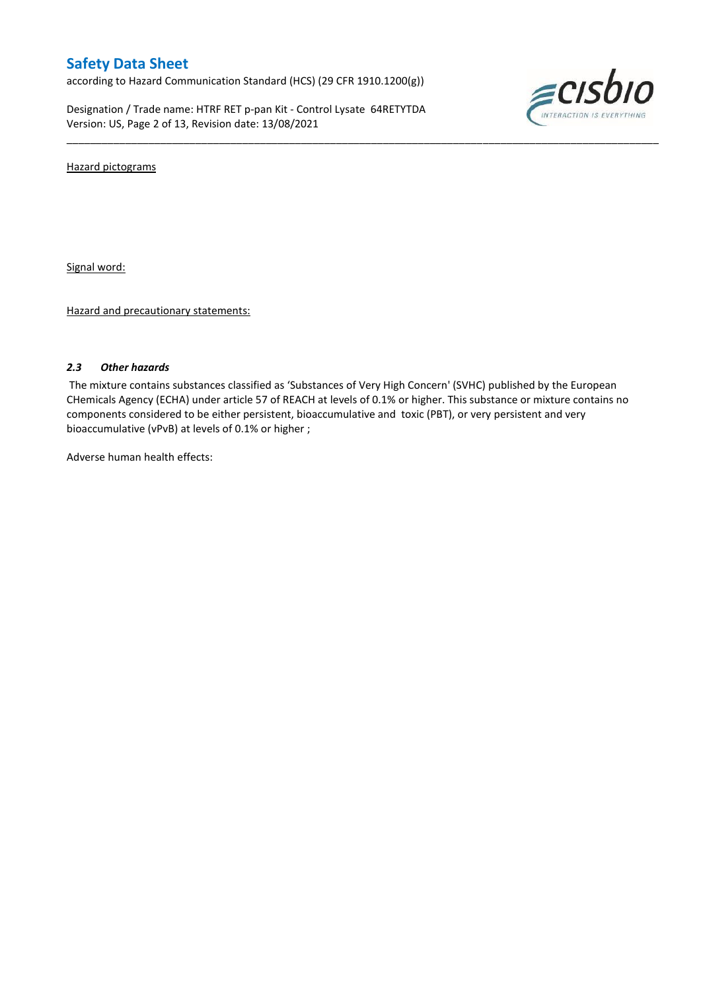according to Hazard Communication Standard (HCS) (29 CFR 1910.1200(g))

Designation / Trade name: HTRF RET p-pan Kit - Control Lysate 64RETYTDA Version: US, Page 2 of 13, Revision date: 13/08/2021



Hazard pictograms

Signal word:

Hazard and precautionary statements:

#### *2.3 Other hazards*

The mixture contains substances classified as 'Substances of Very High Concern' (SVHC) published by the European CHemicals Agency (ECHA) under article 57 of REACH at levels of 0.1% or higher. This substance or mixture contains no components considered to be either persistent, bioaccumulative and toxic (PBT), or very persistent and very bioaccumulative (vPvB) at levels of 0.1% or higher ;

\_\_\_\_\_\_\_\_\_\_\_\_\_\_\_\_\_\_\_\_\_\_\_\_\_\_\_\_\_\_\_\_\_\_\_\_\_\_\_\_\_\_\_\_\_\_\_\_\_\_\_\_\_\_\_\_\_\_\_\_\_\_\_\_\_\_\_\_\_\_\_\_\_\_\_\_\_\_\_\_\_\_\_\_\_\_\_\_\_\_\_\_\_\_\_\_\_\_\_\_\_

Adverse human health effects: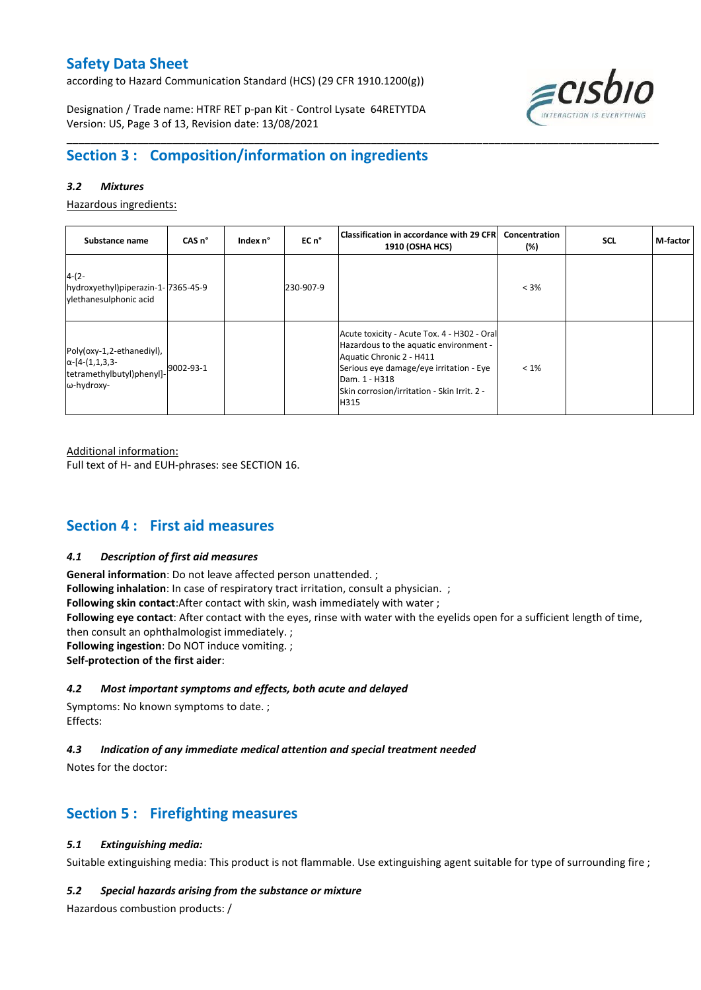according to Hazard Communication Standard (HCS) (29 CFR 1910.1200(g))

Designation / Trade name: HTRF RET p-pan Kit - Control Lysate 64RETYTDA Version: US, Page 3 of 13, Revision date: 13/08/2021



# **Section 3 : Composition/information on ingredients**

### *3.2 Mixtures*

Hazardous ingredients:

| Substance name                                                                                 | CAS <sub>n</sub> ° | Index n° | EC n°     | Classification in accordance with 29 CFR <br><b>1910 (OSHA HCS)</b>                                                                                                                                                                  | Concentration<br>(%) | <b>SCL</b> | M-factor |
|------------------------------------------------------------------------------------------------|--------------------|----------|-----------|--------------------------------------------------------------------------------------------------------------------------------------------------------------------------------------------------------------------------------------|----------------------|------------|----------|
| $4-(2-$<br>hydroxyethyl)piperazin-1-7365-45-9<br>vlethanesulphonic acid                        |                    |          | 230-907-9 |                                                                                                                                                                                                                                      | $< 3\%$              |            |          |
| Poly(oxy-1,2-ethanediyl),<br>$\alpha$ -[4-(1,1,3,3-<br>tetramethylbutyl)phenyl]-<br>ω-hydroxy- | 9002-93-1          |          |           | Acute toxicity - Acute Tox. 4 - H302 - Oral<br>Hazardous to the aquatic environment -<br>Aquatic Chronic 2 - H411<br>Serious eye damage/eye irritation - Eye<br>Dam. 1 - H318<br>Skin corrosion/irritation - Skin Irrit. 2 -<br>H315 | $< 1\%$              |            |          |

\_\_\_\_\_\_\_\_\_\_\_\_\_\_\_\_\_\_\_\_\_\_\_\_\_\_\_\_\_\_\_\_\_\_\_\_\_\_\_\_\_\_\_\_\_\_\_\_\_\_\_\_\_\_\_\_\_\_\_\_\_\_\_\_\_\_\_\_\_\_\_\_\_\_\_\_\_\_\_\_\_\_\_\_\_\_\_\_\_\_\_\_\_\_\_\_\_\_\_\_\_

Additional information:

Full text of H- and EUH-phrases: see SECTION 16.

# **Section 4 : First aid measures**

#### *4.1 Description of first aid measures*

**General information**: Do not leave affected person unattended. ; **Following inhalation**: In case of respiratory tract irritation, consult a physician. ; **Following skin contact**:After contact with skin, wash immediately with water ; **Following eye contact**: After contact with the eyes, rinse with water with the eyelids open for a sufficient length of time, then consult an ophthalmologist immediately. ; **Following ingestion**: Do NOT induce vomiting. ; **Self-protection of the first aider**:

#### *4.2 Most important symptoms and effects, both acute and delayed*

Symptoms: No known symptoms to date. ; Effects:

### *4.3 Indication of any immediate medical attention and special treatment needed*

Notes for the doctor:

# **Section 5 : Firefighting measures**

### *5.1 Extinguishing media:*

Suitable extinguishing media: This product is not flammable. Use extinguishing agent suitable for type of surrounding fire ;

#### *5.2 Special hazards arising from the substance or mixture*

Hazardous combustion products: /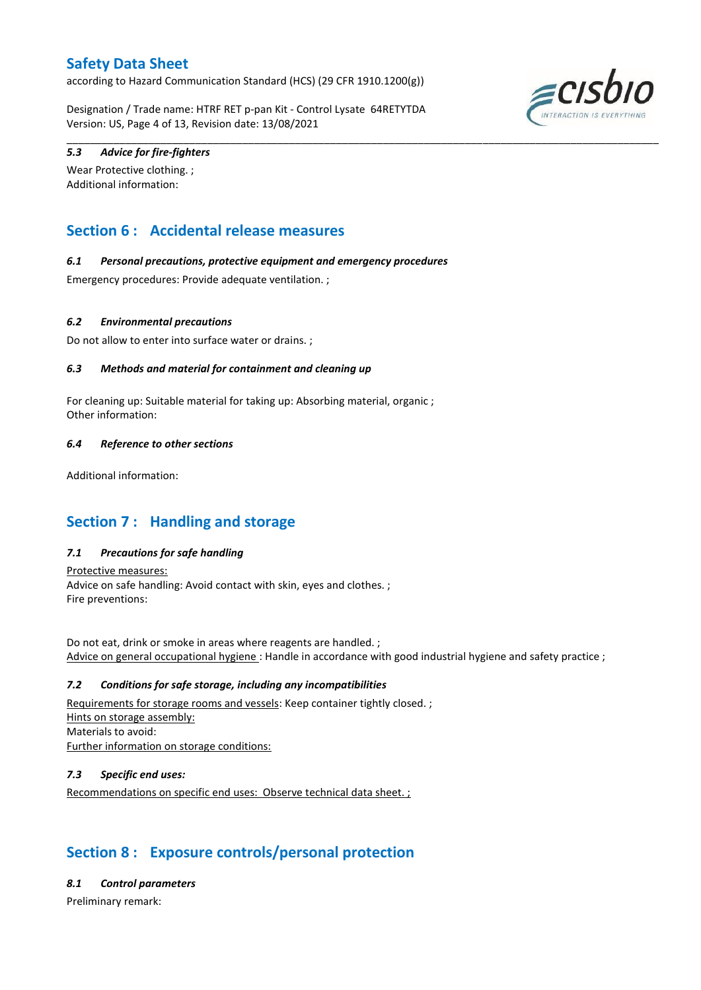according to Hazard Communication Standard (HCS) (29 CFR 1910.1200(g))

Designation / Trade name: HTRF RET p-pan Kit - Control Lysate 64RETYTDA Version: US, Page 4 of 13, Revision date: 13/08/2021

\_\_\_\_\_\_\_\_\_\_\_\_\_\_\_\_\_\_\_\_\_\_\_\_\_\_\_\_\_\_\_\_\_\_\_\_\_\_\_\_\_\_\_\_\_\_\_\_\_\_\_\_\_\_\_\_\_\_\_\_\_\_\_\_\_\_\_\_\_\_\_\_\_\_\_\_\_\_\_\_\_\_\_\_\_\_\_\_\_\_\_\_\_\_\_\_\_\_\_\_\_



### *5.3 Advice for fire-fighters*

Wear Protective clothing. ; Additional information:

# **Section 6 : Accidental release measures**

### *6.1 Personal precautions, protective equipment and emergency procedures*

Emergency procedures: Provide adequate ventilation. ;

#### *6.2 Environmental precautions*

Do not allow to enter into surface water or drains. ;

### *6.3 Methods and material for containment and cleaning up*

For cleaning up: Suitable material for taking up: Absorbing material, organic ; Other information:

### *6.4 Reference to other sections*

Additional information:

# **Section 7 : Handling and storage**

### *7.1 Precautions for safe handling*

Protective measures: Advice on safe handling: Avoid contact with skin, eyes and clothes. ; Fire preventions:

Do not eat, drink or smoke in areas where reagents are handled. ; Advice on general occupational hygiene : Handle in accordance with good industrial hygiene and safety practice ;

#### *7.2 Conditions for safe storage, including any incompatibilities*

Requirements for storage rooms and vessels: Keep container tightly closed. ; Hints on storage assembly: Materials to avoid: Further information on storage conditions:

### *7.3 Specific end uses:*

Recommendations on specific end uses: Observe technical data sheet. ;

# **Section 8 : Exposure controls/personal protection**

#### *8.1 Control parameters*

Preliminary remark: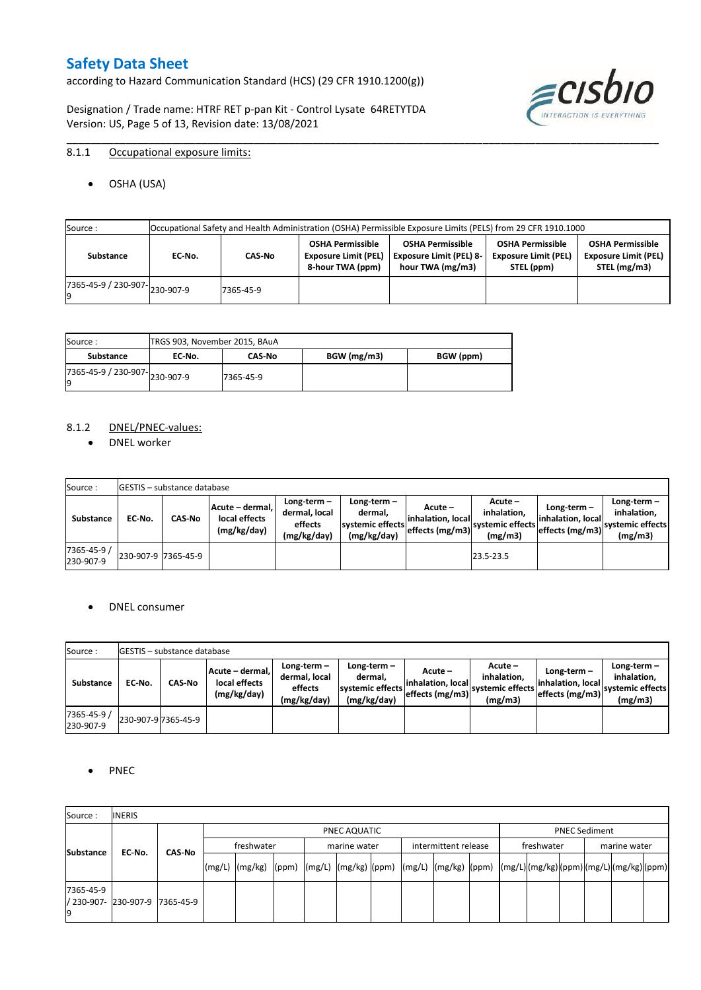according to Hazard Communication Standard (HCS) (29 CFR 1910.1200(g))

Designation / Trade name: HTRF RET p-pan Kit - Control Lysate 64RETYTDA Version: US, Page 5 of 13, Revision date: 13/08/2021



### 8.1.1 Occupational exposure limits:

OSHA (USA)

| Source :                             |        |           |                                                                            | Occupational Safety and Health Administration (OSHA) Permissible Exposure Limits (PELS) from 29 CFR 1910.1000 |                                                                      |                                                                        |
|--------------------------------------|--------|-----------|----------------------------------------------------------------------------|---------------------------------------------------------------------------------------------------------------|----------------------------------------------------------------------|------------------------------------------------------------------------|
| Substance                            | EC No. | CAS-No    | <b>OSHA Permissible</b><br><b>Exposure Limit (PEL)</b><br>8-hour TWA (ppm) | <b>OSHA Permissible</b><br><b>Exposure Limit (PEL) 8-</b><br>hour TWA (mg/m3)                                 | <b>OSHA Permissible</b><br><b>Exposure Limit (PEL)</b><br>STEL (ppm) | <b>OSHA Permissible</b><br><b>Exposure Limit (PEL)</b><br>STEL (mg/m3) |
| $(7365-45-9) / 230-907$ $ 230-907-9$ |        | 7365-45-9 |                                                                            |                                                                                                               |                                                                      |                                                                        |

\_\_\_\_\_\_\_\_\_\_\_\_\_\_\_\_\_\_\_\_\_\_\_\_\_\_\_\_\_\_\_\_\_\_\_\_\_\_\_\_\_\_\_\_\_\_\_\_\_\_\_\_\_\_\_\_\_\_\_\_\_\_\_\_\_\_\_\_\_\_\_\_\_\_\_\_\_\_\_\_\_\_\_\_\_\_\_\_\_\_\_\_\_\_\_\_\_\_\_\_\_

| Source:                              | TRGS 903, November 2015, BAuA |               |             |           |
|--------------------------------------|-------------------------------|---------------|-------------|-----------|
| Substance                            | EC No.                        | <b>CAS No</b> | BGW (mg/m3) | BGW (ppm) |
| ./365-45-9 / 230-907-230-907-9<br>19 |                               | 7365-45-9     |             |           |

### 8.1.2 DNEL/PNEC-values:

• DNEL worker

| Source:                  |                     | <b>IGESTIS – substance database</b> |                                                 |                                                          |                                                             |                                                  |                                                       |                                                          |                                                             |
|--------------------------|---------------------|-------------------------------------|-------------------------------------------------|----------------------------------------------------------|-------------------------------------------------------------|--------------------------------------------------|-------------------------------------------------------|----------------------------------------------------------|-------------------------------------------------------------|
| Substance                | EC-No.              | <b>CAS-No</b>                       | Acute – dermal,<br>local effects<br>(mg/kg/day) | Long-term $-$<br>dermal, local<br>effects<br>(mg/kg/day) | Long-term $-$<br>dermal,<br>systemic effects<br>(mg/kg/day) | Acute –<br>linhalation. local<br>effects (mg/m3) | Acute -<br>inhalation.<br>systemic effects<br>(mg/m3) | Long-term $-$<br>linhalation. local<br>effects (mg/m3) ` | $Long-term -$<br>inhalation.<br>systemic effects<br>(mg/m3) |
| 7365-45-9 /<br>230-907-9 | 230-907-9 7365-45-9 |                                     |                                                 |                                                          |                                                             |                                                  | 23.5-23.5                                             |                                                          |                                                             |

#### DNEL consumer

| Source:                  |        | <b>IGESTIS – substance database</b> |                                                   |                                                          |                                                             |                                                  |                                                       |                                                        |                                                             |
|--------------------------|--------|-------------------------------------|---------------------------------------------------|----------------------------------------------------------|-------------------------------------------------------------|--------------------------------------------------|-------------------------------------------------------|--------------------------------------------------------|-------------------------------------------------------------|
| Substance                | EC-No. | <b>CAS-No</b>                       | Acute – dermal. I<br>local effects<br>(mg/kg/day) | Long-term $-$<br>dermal, local<br>effects<br>(mg/kg/day) | Long-term $-$<br>dermal.<br>systemic effects<br>(mg/kg/day) | Acute –<br>linhalation. local<br>effects (mg/m3) | Acute -<br>inhalation.<br>systemic effects<br>(mg/m3) | $Long-term -$<br>linhalation. local<br>effects (mg/m3) | Long-term $-$<br>inhalation.<br>systemic effects<br>(mg/m3) |
| 7365-45-9 /<br>230-907-9 |        | 230-907-9 7365-45-9                 |                                                   |                                                          |                                                             |                                                  |                                                       |                                                        |                                                             |

### • PNEC

| Source:                           | <b>INERIS</b> |           |        |                                                                                                           |              |  |                      |  |  |                      |  |              |  |  |  |  |  |
|-----------------------------------|---------------|-----------|--------|-----------------------------------------------------------------------------------------------------------|--------------|--|----------------------|--|--|----------------------|--|--------------|--|--|--|--|--|
|                                   |               |           |        | PNEC AQUATIC                                                                                              |              |  |                      |  |  | <b>PNEC Sediment</b> |  |              |  |  |  |  |  |
| <b>Substance</b><br>EC-No.        |               |           |        | freshwater                                                                                                | marine water |  | intermittent release |  |  | freshwater           |  | marine water |  |  |  |  |  |
|                                   |               | CAS No    | (mg/L) | (mg/kg)  (ppm)  (mg/L)  (mg/kg)  (ppm)  (mg/L)  (mg/kg)  (ppm)  (mg/L) (mg/kg) (ppm) (mg/L) (mg/kg) (ppm) |              |  |                      |  |  |                      |  |              |  |  |  |  |  |
| 7365-45-9<br>/ 230-907- 230-907-9 |               | 7365-45-9 |        |                                                                                                           |              |  |                      |  |  |                      |  |              |  |  |  |  |  |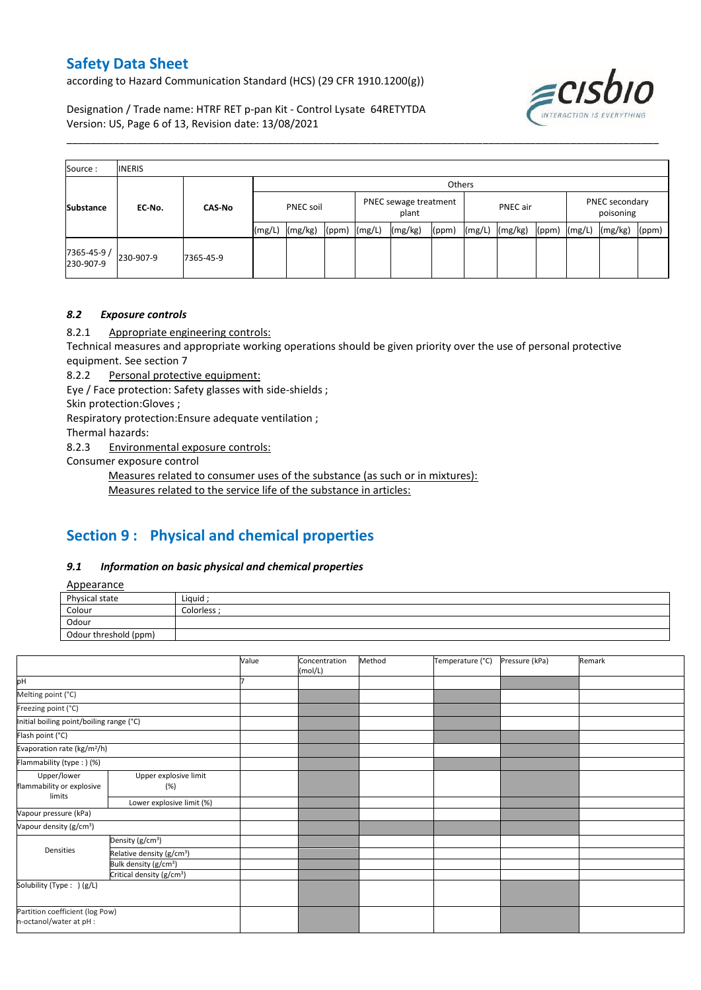according to Hazard Communication Standard (HCS) (29 CFR 1910.1200(g))



Designation / Trade name: HTRF RET p-pan Kit - Control Lysate 64RETYTDA Version: US, Page 6 of 13, Revision date: 13/08/2021

| Source:                    | <b>INERIS</b> |               |                  |               |       |        |                                |       |          |         |       |                             |         |       |
|----------------------------|---------------|---------------|------------------|---------------|-------|--------|--------------------------------|-------|----------|---------|-------|-----------------------------|---------|-------|
|                            |               |               |                  | <b>Others</b> |       |        |                                |       |          |         |       |                             |         |       |
| <b>Substance</b><br>EC No. |               | <b>CAS-No</b> | PNEC soil        |               |       |        | PNEC sewage treatment<br>plant |       | PNEC air |         |       | PNEC secondary<br>poisoning |         |       |
|                            |               |               | $\lfloor$ (mg/L, | (mg/kg)       | (ppm) | (mg/L) | (mg/kg)                        | (ppm) | (mg/L)   | (mg/kg) | (ppm) | (mg/L)                      | (mg/kg) | (ppm) |
| 7365-45-9 /<br>230-907-9   | 230-907-9     | 7365-45-9     |                  |               |       |        |                                |       |          |         |       |                             |         |       |

\_\_\_\_\_\_\_\_\_\_\_\_\_\_\_\_\_\_\_\_\_\_\_\_\_\_\_\_\_\_\_\_\_\_\_\_\_\_\_\_\_\_\_\_\_\_\_\_\_\_\_\_\_\_\_\_\_\_\_\_\_\_\_\_\_\_\_\_\_\_\_\_\_\_\_\_\_\_\_\_\_\_\_\_\_\_\_\_\_\_\_\_\_\_\_\_\_\_\_\_\_

### *8.2 Exposure controls*

8.2.1 Appropriate engineering controls:

Technical measures and appropriate working operations should be given priority over the use of personal protective equipment. See section 7

8.2.2 Personal protective equipment:

Eye / Face protection: Safety glasses with side-shields ;

Skin protection:Gloves ;

Respiratory protection:Ensure adequate ventilation ;

Thermal hazards:

8.2.3 Environmental exposure controls:

Consumer exposure control

Measures related to consumer uses of the substance (as such or in mixtures):

Measures related to the service life of the substance in articles:

# **Section 9 : Physical and chemical properties**

#### *9.1 Information on basic physical and chemical properties*

Appearance

| ANNLUIUILL            |           |
|-----------------------|-----------|
| Physical state        | Liquid    |
| Colour                | Colorless |
| Odour                 |           |
| Odour threshold (ppm) |           |

|                                                            |                                       | Value | Concentration<br>(mol/L) | Method | Temperature (°C) | Pressure (kPa) | Remark |
|------------------------------------------------------------|---------------------------------------|-------|--------------------------|--------|------------------|----------------|--------|
| pH                                                         |                                       |       |                          |        |                  |                |        |
| Melting point (°C)                                         |                                       |       |                          |        |                  |                |        |
| Freezing point (°C)                                        |                                       |       |                          |        |                  |                |        |
| Initial boiling point/boiling range (°C)                   |                                       |       |                          |        |                  |                |        |
| Flash point (°C)                                           |                                       |       |                          |        |                  |                |        |
| Evaporation rate (kg/m <sup>2</sup> /h)                    |                                       |       |                          |        |                  |                |        |
| Flammability (type : ) (%)                                 |                                       |       |                          |        |                  |                |        |
| Upper/lower<br>flammability or explosive<br>limits         | Upper explosive limit<br>(%)          |       |                          |        |                  |                |        |
|                                                            | Lower explosive limit (%)             |       |                          |        |                  |                |        |
| Vapour pressure (kPa)                                      |                                       |       |                          |        |                  |                |        |
| Vapour density (g/cm <sup>3</sup> )                        |                                       |       |                          |        |                  |                |        |
|                                                            | Density (g/cm <sup>3</sup> )          |       |                          |        |                  |                |        |
| Densities                                                  | Relative density (g/cm <sup>3</sup> ) |       |                          |        |                  |                |        |
|                                                            | Bulk density (g/cm <sup>3</sup> )     |       |                          |        |                  |                |        |
|                                                            | Critical density (g/cm <sup>3</sup> ) |       |                          |        |                  |                |        |
| Solubility (Type: ) (g/L)                                  |                                       |       |                          |        |                  |                |        |
| Partition coefficient (log Pow)<br>n-octanol/water at pH : |                                       |       |                          |        |                  |                |        |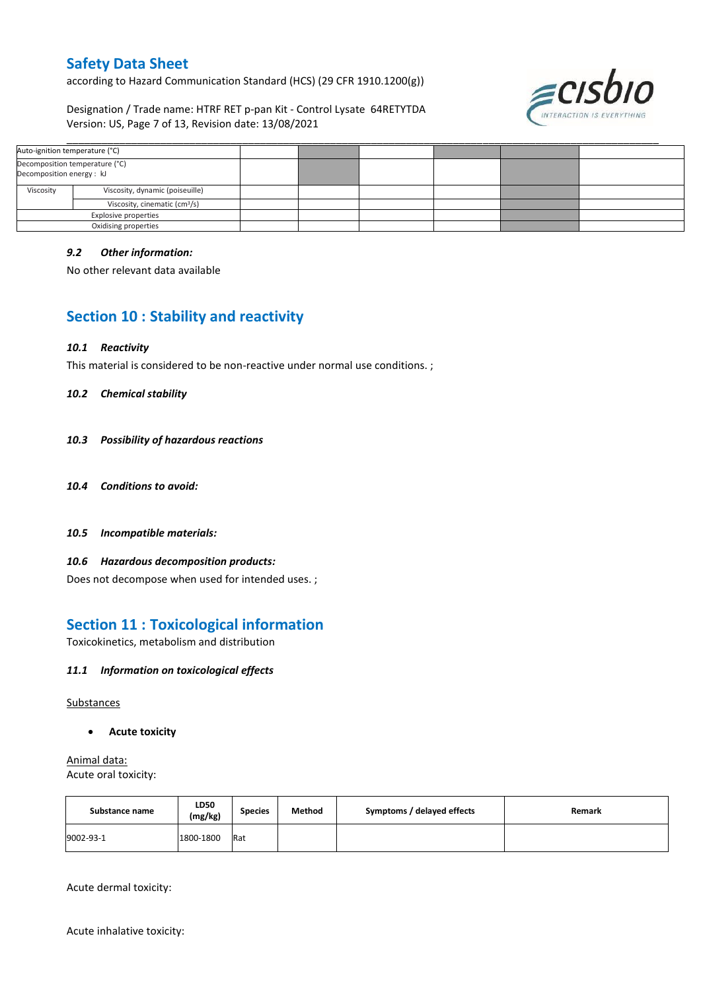according to Hazard Communication Standard (HCS) (29 CFR 1910.1200(g))

Designation / Trade name: HTRF RET p-pan Kit - Control Lysate 64RETYTDA Version: US, Page 7 of 13, Revision date: 13/08/2021



|                                                             | Auto-ignition temperature (°C)            |  |  |  |  |
|-------------------------------------------------------------|-------------------------------------------|--|--|--|--|
| Decomposition temperature (°C)<br>Decomposition energy : kJ |                                           |  |  |  |  |
| Viscosity                                                   | Viscosity, dynamic (poiseuille)           |  |  |  |  |
|                                                             | Viscosity, cinematic (cm <sup>3</sup> /s) |  |  |  |  |
|                                                             | Explosive properties                      |  |  |  |  |
|                                                             | Oxidising properties                      |  |  |  |  |

#### *9.2 Other information:*

No other relevant data available

# **Section 10 : Stability and reactivity**

#### *10.1 Reactivity*

This material is considered to be non-reactive under normal use conditions. ;

### *10.2 Chemical stability*

- *10.3 Possibility of hazardous reactions*
- *10.4 Conditions to avoid:*
- *10.5 Incompatible materials:*

#### *10.6 Hazardous decomposition products:*

Does not decompose when used for intended uses. ;

### **Section 11 : Toxicological information**

Toxicokinetics, metabolism and distribution

#### *11.1 Information on toxicological effects*

#### Substances

**Acute toxicity**

Animal data: Acute oral toxicity:

| Substance name | LD50<br>(mg/kg) | <b>Species</b> | Method | Symptoms / delayed effects | Remark |
|----------------|-----------------|----------------|--------|----------------------------|--------|
| 9002-93-1      | 1800-1800       | Rat            |        |                            |        |

Acute dermal toxicity:

Acute inhalative toxicity: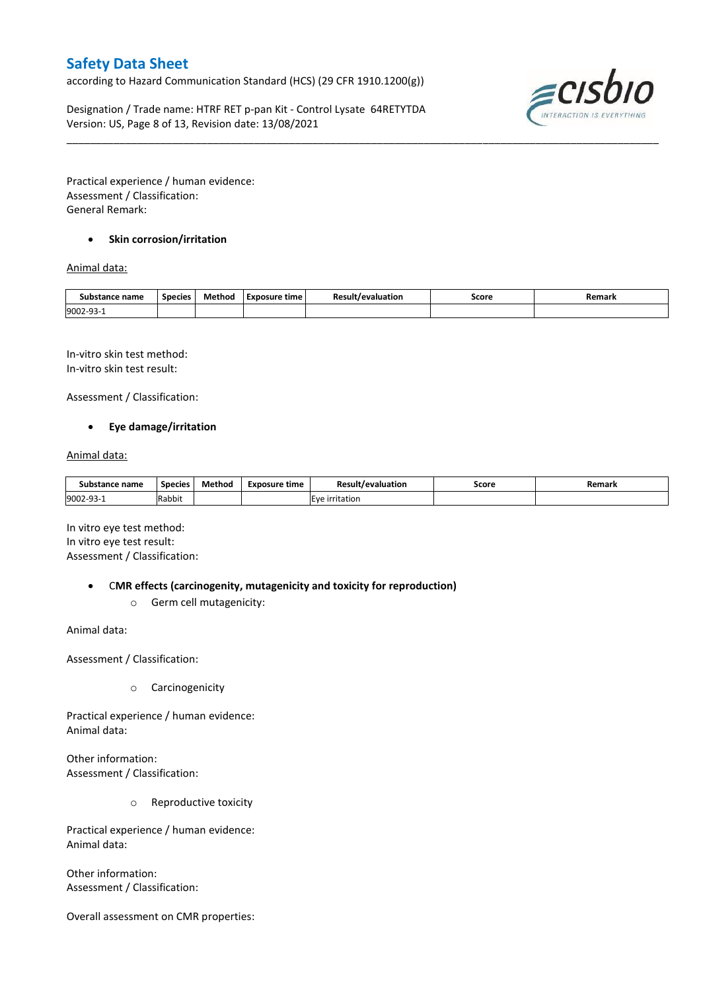according to Hazard Communication Standard (HCS) (29 CFR 1910.1200(g))

Designation / Trade name: HTRF RET p-pan Kit - Control Lysate 64RETYTDA Version: US, Page 8 of 13, Revision date: 13/08/2021



Practical experience / human evidence: Assessment / Classification: General Remark:

### **•** Skin corrosion/irritation

### Animal data:

| Substance name        | <b>Species</b> | Method | Exposure time | Result/evaluation | Score | Remark |
|-----------------------|----------------|--------|---------------|-------------------|-------|--------|
| 9002-93<br><b>سات</b> |                |        |               |                   |       |        |

\_\_\_\_\_\_\_\_\_\_\_\_\_\_\_\_\_\_\_\_\_\_\_\_\_\_\_\_\_\_\_\_\_\_\_\_\_\_\_\_\_\_\_\_\_\_\_\_\_\_\_\_\_\_\_\_\_\_\_\_\_\_\_\_\_\_\_\_\_\_\_\_\_\_\_\_\_\_\_\_\_\_\_\_\_\_\_\_\_\_\_\_\_\_\_\_\_\_\_\_\_

In-vitro skin test method: In-vitro skin test result:

Assessment / Classification:

#### **Eye damage/irritation**

#### Animal data:

| Substance name         | <b>Species</b> | Method | Exposure time | Result/evaluation | Score | Remarl |
|------------------------|----------------|--------|---------------|-------------------|-------|--------|
| 9002-93-<br><b>سات</b> | Rabbit         |        |               | Eve irritation    |       |        |

In vitro eye test method: In vitro eye test result: Assessment / Classification:

C**MR effects (carcinogenity, mutagenicity and toxicity for reproduction)**

o Germ cell mutagenicity:

Animal data:

Assessment / Classification:

o Carcinogenicity

Practical experience / human evidence: Animal data:

Other information: Assessment / Classification:

o Reproductive toxicity

Practical experience / human evidence: Animal data:

Other information: Assessment / Classification:

Overall assessment on CMR properties: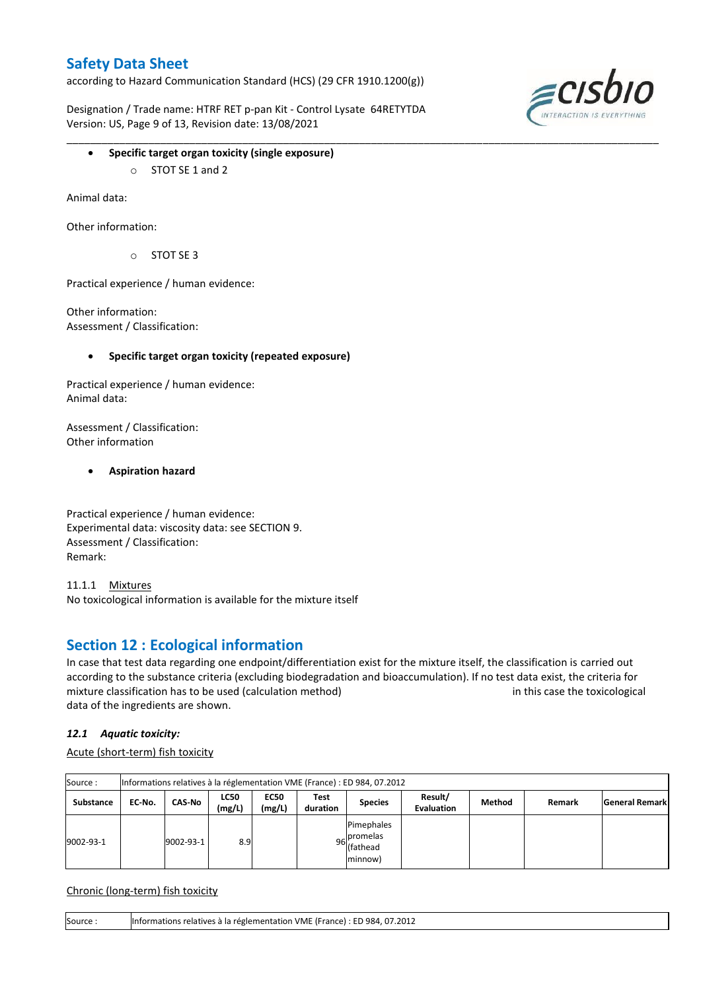according to Hazard Communication Standard (HCS) (29 CFR 1910.1200(g))

Designation / Trade name: HTRF RET p-pan Kit - Control Lysate 64RETYTDA Version: US, Page 9 of 13, Revision date: 13/08/2021



- **Specific target organ toxicity (single exposure)**
	- o STOT SE 1 and 2

Animal data:

Other information:

 $O$  STOT SE 3

Practical experience / human evidence:

Other information: Assessment / Classification:

**Specific target organ toxicity (repeated exposure)**

Practical experience / human evidence: Animal data:

Assessment / Classification: Other information

**Aspiration hazard**

Practical experience / human evidence: Experimental data: viscosity data: see SECTION 9. Assessment / Classification: Remark:

11.1.1 Mixtures No toxicological information is available for the mixture itself

### **Section 12 : Ecological information**

In case that test data regarding one endpoint/differentiation exist for the mixture itself, the classification is carried out according to the substance criteria (excluding biodegradation and bioaccumulation). If no test data exist, the criteria for mixture classification has to be used (calculation method) in this case the toxicological data of the ingredients are shown.

\_\_\_\_\_\_\_\_\_\_\_\_\_\_\_\_\_\_\_\_\_\_\_\_\_\_\_\_\_\_\_\_\_\_\_\_\_\_\_\_\_\_\_\_\_\_\_\_\_\_\_\_\_\_\_\_\_\_\_\_\_\_\_\_\_\_\_\_\_\_\_\_\_\_\_\_\_\_\_\_\_\_\_\_\_\_\_\_\_\_\_\_\_\_\_\_\_\_\_\_\_

### *12.1 Aquatic toxicity:*

Acute (short-term) fish toxicity

| Source:   | Informations relatives à la réglementation VME (France) : ED 984, 07.2012 |           |                       |                       |                  |                                                  |                              |        |        |                       |  |  |
|-----------|---------------------------------------------------------------------------|-----------|-----------------------|-----------------------|------------------|--------------------------------------------------|------------------------------|--------|--------|-----------------------|--|--|
| Substance | EC No.                                                                    | CAS-No    | <b>LC50</b><br>(mg/L) | <b>EC50</b><br>(mg/L) | Test<br>duration | <b>Species</b>                                   | Result/<br><b>Evaluation</b> | Method | Remark | <b>General Remark</b> |  |  |
| 9002-93-1 |                                                                           | 9002-93-1 | 8.9                   |                       |                  | Pimephales<br>96 promelas<br>(fathead<br>minnow) |                              |        |        |                       |  |  |

Chronic (long-term) fish toxicity

Source : Informations relatives à la réglementation VME (France) : ED 984, 07.2012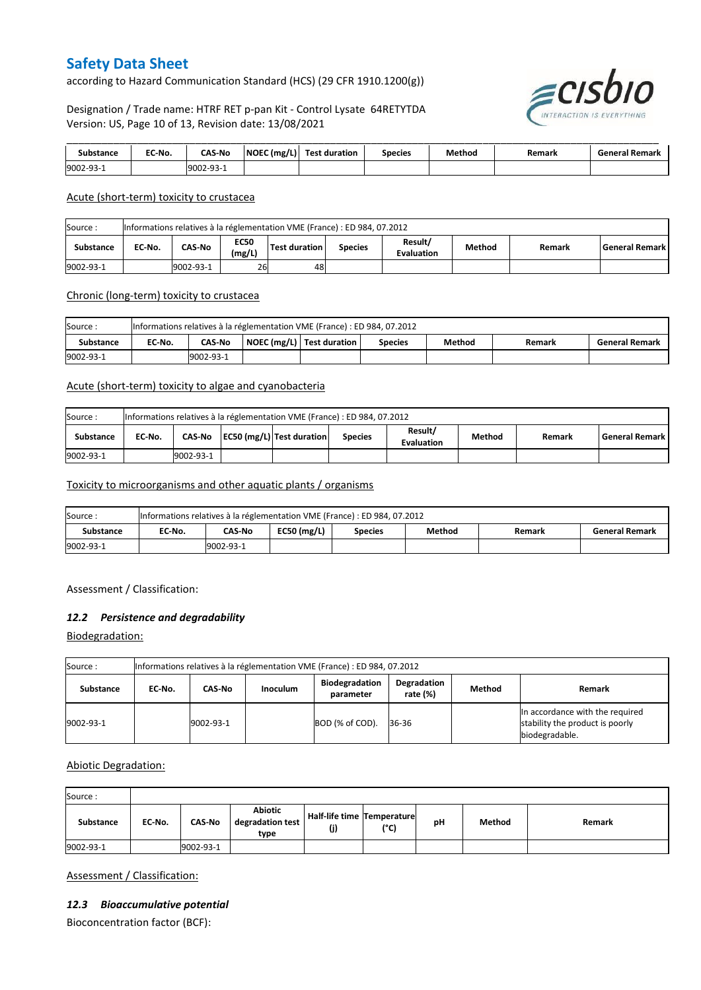according to Hazard Communication Standard (HCS) (29 CFR 1910.1200(g))

Designation / Trade name: HTRF RET p-pan Kit - Control Lysate 64RETYTDA Version: US, Page 10 of 13, Revision date: 13/08/2021



| stance    | EC-No. | <b>CAS-No</b> | NOEC (mg/L) | Test<br>duration | Species | Method | Remark |  |
|-----------|--------|---------------|-------------|------------------|---------|--------|--------|--|
| 9002-93-1 |        | 002-93-       |             |                  |         |        |        |  |

#### Acute (short-term) toxicity to crustacea

| Informations relatives à la réglementation VME (France) : ED 984, 07.2012<br>Source:                                                                                   |                       |  |  |  |  |  |  |  |  |  |  |
|------------------------------------------------------------------------------------------------------------------------------------------------------------------------|-----------------------|--|--|--|--|--|--|--|--|--|--|
| Result/<br><b>EC50</b><br>CAS-No<br><b>Test duration</b><br>General Remark<br>Method<br>EC No.<br><b>Species</b><br>Remark<br><b>Substance</b><br>(mg/L)<br>Evaluation |                       |  |  |  |  |  |  |  |  |  |  |
| 9002-93-1                                                                                                                                                              | 26<br>9002-93-1<br>48 |  |  |  |  |  |  |  |  |  |  |

#### Chronic (long-term) toxicity to crustacea

| Source:   | Informations relatives à la réglementation VME (France) : ED 984, 07.2012 |                                                                                                             |  |  |  |  |  |  |  |  |  |
|-----------|---------------------------------------------------------------------------|-------------------------------------------------------------------------------------------------------------|--|--|--|--|--|--|--|--|--|
| Substance | EC No.                                                                    | NOEC (mg/L)   Test duration<br>Method<br><b>CAS-No</b><br><b>General Remark</b><br><b>Species</b><br>Remark |  |  |  |  |  |  |  |  |  |
| 9002-93-1 | 9002-93-1                                                                 |                                                                                                             |  |  |  |  |  |  |  |  |  |

#### Acute (short-term) toxicity to algae and cyanobacteria

| Informations relatives à la réglementation VME (France) : ED 984, 07.2012<br>Source: |           |                                                                                                                                        |  |  |  |  |  |  |  |  |  |
|--------------------------------------------------------------------------------------|-----------|----------------------------------------------------------------------------------------------------------------------------------------|--|--|--|--|--|--|--|--|--|
| <b>Substance</b>                                                                     | EC No.    | Result/<br>EC50 (mg/L) Test duration<br>Method<br><b>CAS-No</b><br>l General Remark l<br><b>Species</b><br>Remark<br><b>Evaluation</b> |  |  |  |  |  |  |  |  |  |
| 9002-93-1                                                                            | 9002-93-1 |                                                                                                                                        |  |  |  |  |  |  |  |  |  |

#### Toxicity to microorganisms and other aquatic plants / organisms

| Source    | Informations relatives à la réglementation VME (France) : ED 984, 07.2012 |                                                                                        |  |  |  |  |  |  |  |  |  |
|-----------|---------------------------------------------------------------------------|----------------------------------------------------------------------------------------|--|--|--|--|--|--|--|--|--|
| Substance | EC-No.                                                                    | $EC50$ (mg/L)<br>CAS-No<br>Method<br><b>General Remark</b><br><b>Species</b><br>Remark |  |  |  |  |  |  |  |  |  |
| 9002-93-1 | 19002-93-1                                                                |                                                                                        |  |  |  |  |  |  |  |  |  |

Assessment / Classification:

#### *12.2 Persistence and degradability*

Biodegradation:

| Source:   | Informations relatives à la réglementation VME (France) : ED 984, 07.2012 |           |  |                 |       |  |                                                                                      |  |  |  |  |
|-----------|---------------------------------------------------------------------------|-----------|--|-----------------|-------|--|--------------------------------------------------------------------------------------|--|--|--|--|
| Substance | EC No.                                                                    | Remark    |  |                 |       |  |                                                                                      |  |  |  |  |
| 9002-93-1 |                                                                           | 9002-93-1 |  | BOD (% of COD). | 36-36 |  | In accordance with the required<br>stability the product is poorly<br>biodegradable. |  |  |  |  |

### Abiotic Degradation:

| Source:   |        |               |                                            |                                          |      |    |        |        |
|-----------|--------|---------------|--------------------------------------------|------------------------------------------|------|----|--------|--------|
| Substance | EC-No. | <b>CAS-No</b> | <b>Abiotic</b><br>degradation test<br>type | <b>Half-life time Temperature</b><br>(j) | (°C) | рH | Method | Remark |
| 9002-93-1 |        | 9002-93-1     |                                            |                                          |      |    |        |        |

Assessment / Classification:

#### *12.3 Bioaccumulative potential*

Bioconcentration factor (BCF):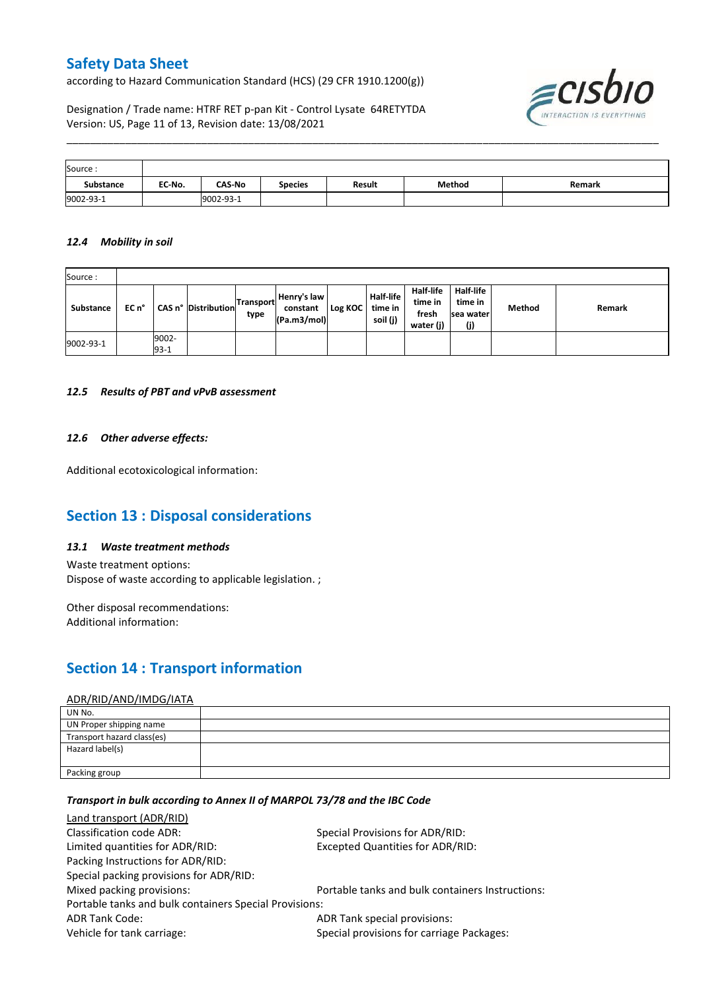according to Hazard Communication Standard (HCS) (29 CFR 1910.1200(g))



Designation / Trade name: HTRF RET p-pan Kit - Control Lysate 64RETYTDA Version: US, Page 11 of 13, Revision date: 13/08/2021

| Source:          |        |               |                |        |        |        |
|------------------|--------|---------------|----------------|--------|--------|--------|
| <b>Substance</b> | EC-No. | <b>CAS-No</b> | <b>Species</b> | Result | Method | Remark |
| 9002-93-1        |        | 9002-93-1     |                |        |        |        |

\_\_\_\_\_\_\_\_\_\_\_\_\_\_\_\_\_\_\_\_\_\_\_\_\_\_\_\_\_\_\_\_\_\_\_\_\_\_\_\_\_\_\_\_\_\_\_\_\_\_\_\_\_\_\_\_\_\_\_\_\_\_\_\_\_\_\_\_\_\_\_\_\_\_\_\_\_\_\_\_\_\_\_\_\_\_\_\_\_\_\_\_\_\_\_\_\_\_\_\_\_

#### *12.4 Mobility in soil*

| Source:   |         |                 |                            |                   |                                        |         |                                         |                                                   |                                          |        |        |
|-----------|---------|-----------------|----------------------------|-------------------|----------------------------------------|---------|-----------------------------------------|---------------------------------------------------|------------------------------------------|--------|--------|
| Substance | $ECn$ ° |                 | <b>CAS n° Distribution</b> | Transport<br>type | Henry's law<br>constant<br>(Pa.m3/mol) | Log KOC | <b>Half-life</b><br>time in<br>soil (j) | <b>Half-life</b><br>time in<br>fresh<br>water (j) | Half-life<br>time in<br>sea water<br>(j) | Method | Remark |
| 9002-93-1 |         | 9002-<br>$93-1$ |                            |                   |                                        |         |                                         |                                                   |                                          |        |        |

#### *12.5 Results of PBT and vPvB assessment*

#### *12.6 Other adverse effects:*

Additional ecotoxicological information:

### **Section 13 : Disposal considerations**

#### *13.1 Waste treatment methods*

Waste treatment options: Dispose of waste according to applicable legislation. ;

Other disposal recommendations: Additional information:

# **Section 14 : Transport information**

#### ADR/RID/AND/IMDG/IATA

| UN No.                     |  |
|----------------------------|--|
| UN Proper shipping name    |  |
| Transport hazard class(es) |  |
| Hazard label(s)            |  |
|                            |  |
| Packing group              |  |

#### *Transport in bulk according to Annex II of MARPOL 73/78 and the IBC Code*

| Land transport (ADR/RID)                               |                                                  |  |  |
|--------------------------------------------------------|--------------------------------------------------|--|--|
| Classification code ADR:                               | Special Provisions for ADR/RID:                  |  |  |
| Limited quantities for ADR/RID:                        | Excepted Quantities for ADR/RID:                 |  |  |
| Packing Instructions for ADR/RID:                      |                                                  |  |  |
| Special packing provisions for ADR/RID:                |                                                  |  |  |
| Mixed packing provisions:                              | Portable tanks and bulk containers Instructions: |  |  |
| Portable tanks and bulk containers Special Provisions: |                                                  |  |  |
| <b>ADR Tank Code:</b>                                  | ADR Tank special provisions:                     |  |  |
| Vehicle for tank carriage:                             | Special provisions for carriage Packages:        |  |  |
|                                                        |                                                  |  |  |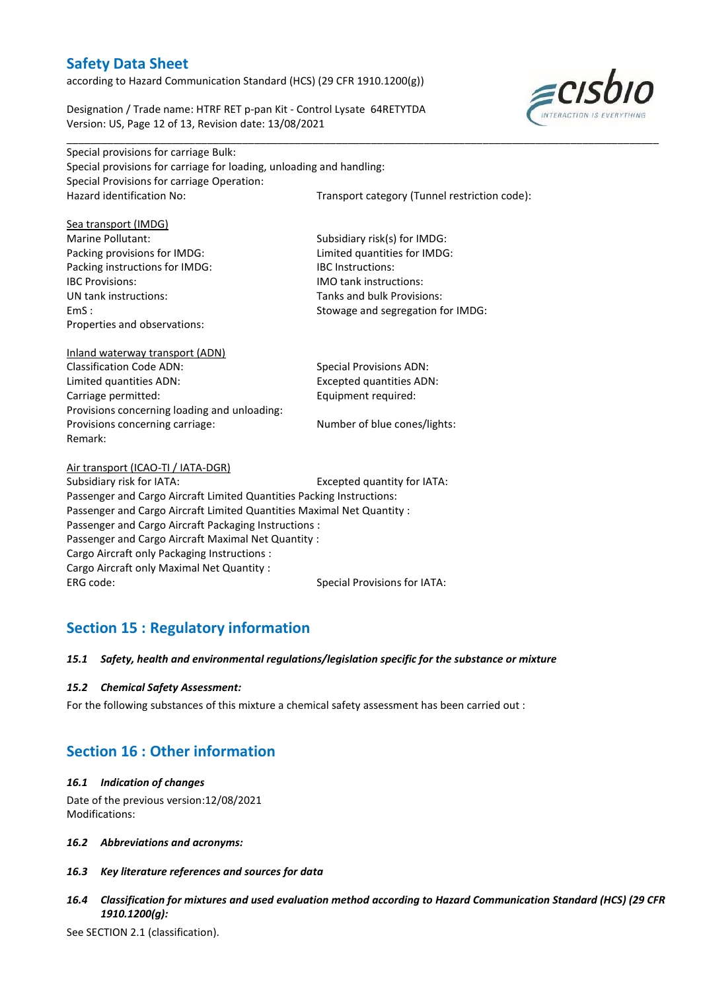according to Hazard Communication Standard (HCS) (29 CFR 1910.1200(g))

Designation / Trade name: HTRF RET p-pan Kit - Control Lysate 64RETYTDA Version: US, Page 12 of 13, Revision date: 13/08/2021



Special provisions for carriage Bulk: Special provisions for carriage for loading, unloading and handling: Special Provisions for carriage Operation: Hazard identification No: Transport category (Tunnel restriction code): Sea transport (IMDG) Marine Pollutant: Subsidiary risk(s) for IMDG: Packing provisions for IMDG: Limited quantities for IMDG:

\_\_\_\_\_\_\_\_\_\_\_\_\_\_\_\_\_\_\_\_\_\_\_\_\_\_\_\_\_\_\_\_\_\_\_\_\_\_\_\_\_\_\_\_\_\_\_\_\_\_\_\_\_\_\_\_\_\_\_\_\_\_\_\_\_\_\_\_\_\_\_\_\_\_\_\_\_\_\_\_\_\_\_\_\_\_\_\_\_\_\_\_\_\_\_\_\_\_\_\_\_

Packing instructions for IMDG: IBC Instructions: IBC Provisions: IMO tank instructions: UN tank instructions: Tanks and bulk Provisions: EmS : Stowage and segregation for IMDG: Properties and observations: Inland waterway transport (ADN) Classification Code ADN: Special Provisions ADN: Limited quantities ADN: Excepted quantities ADN: Carriage permitted: Equipment required: Provisions concerning loading and unloading: Provisions concerning carriage: Number of blue cones/lights: Remark: Air transport (ICAO-TI / IATA-DGR)

Subsidiary risk for IATA: Excepted quantity for IATA: Passenger and Cargo Aircraft Limited Quantities Packing Instructions: Passenger and Cargo Aircraft Limited Quantities Maximal Net Quantity : Passenger and Cargo Aircraft Packaging Instructions : Passenger and Cargo Aircraft Maximal Net Quantity : Cargo Aircraft only Packaging Instructions : Cargo Aircraft only Maximal Net Quantity : ERG code: Special Provisions for IATA:

# **Section 15 : Regulatory information**

#### *15.1 Safety, health and environmental regulations/legislation specific for the substance or mixture*

#### *15.2 Chemical Safety Assessment:*

For the following substances of this mixture a chemical safety assessment has been carried out :

# **Section 16 : Other information**

#### *16.1 Indication of changes*

Date of the previous version:12/08/2021 Modifications:

- *16.2 Abbreviations and acronyms:*
- *16.3 Key literature references and sources for data*
- *16.4 Classification for mixtures and used evaluation method according to Hazard Communication Standard (HCS) (29 CFR 1910.1200(g):*

See SECTION 2.1 (classification).